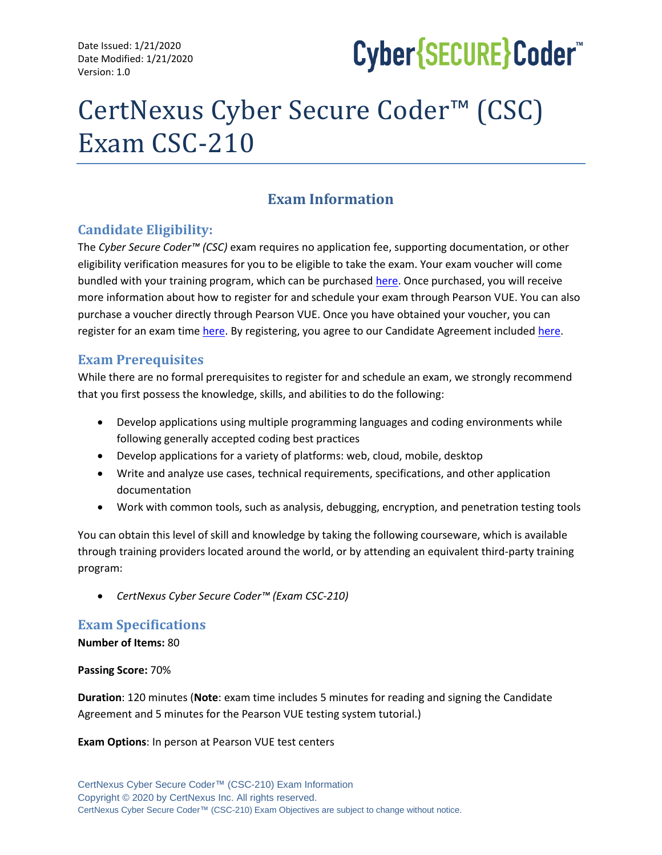Date Issued: 1/21/2020 Date Modified: 1/21/2020 Version: 1.0

# Cyber{SECURE}Coder

# CertNexus Cyber Secure Coder™ (CSC) Exam CSC-210

# **Exam Information**

# **Candidate Eligibility:**

The *Cyber Secure Coder™ (CSC)* exam requires no application fee, supporting documentation, or other eligibility verification measures for you to be eligible to take the exam. Your exam voucher will come bundled with your training program, which can be purchase[d here.](http://store.certnexus.com/) Once purchased, you will receive more information about how to register for and schedule your exam through Pearson VUE. You can also purchase a voucher directly through Pearson VUE. Once you have obtained your voucher, you can register for an exam tim[e here.](https://home.pearsonvue.com/certnexus) By registering, you agree to our Candidate Agreement include[d here.](https://certnexus.com/wp-content/uploads/2018/07/CertNexus-Candidate-Handbook-050219.pdf)

# **Exam Prerequisites**

While there are no formal prerequisites to register for and schedule an exam, we strongly recommend that you first possess the knowledge, skills, and abilities to do the following:

- Develop applications using multiple programming languages and coding environments while following generally accepted coding best practices
- Develop applications for a variety of platforms: web, cloud, mobile, desktop
- Write and analyze use cases, technical requirements, specifications, and other application documentation
- Work with common tools, such as analysis, debugging, encryption, and penetration testing tools

You can obtain this level of skill and knowledge by taking the following courseware, which is available through training providers located around the world, or by attending an equivalent third-party training program:

• *CertNexus Cyber Secure Coder™ (Exam CSC-210)*

# **Exam Specifications**

**Number of Items:** 80

**Passing Score:** 70%

**Duration**: 120 minutes (**Note**: exam time includes 5 minutes for reading and signing the Candidate Agreement and 5 minutes for the Pearson VUE testing system tutorial.)

**Exam Options**: In person at Pearson VUE test centers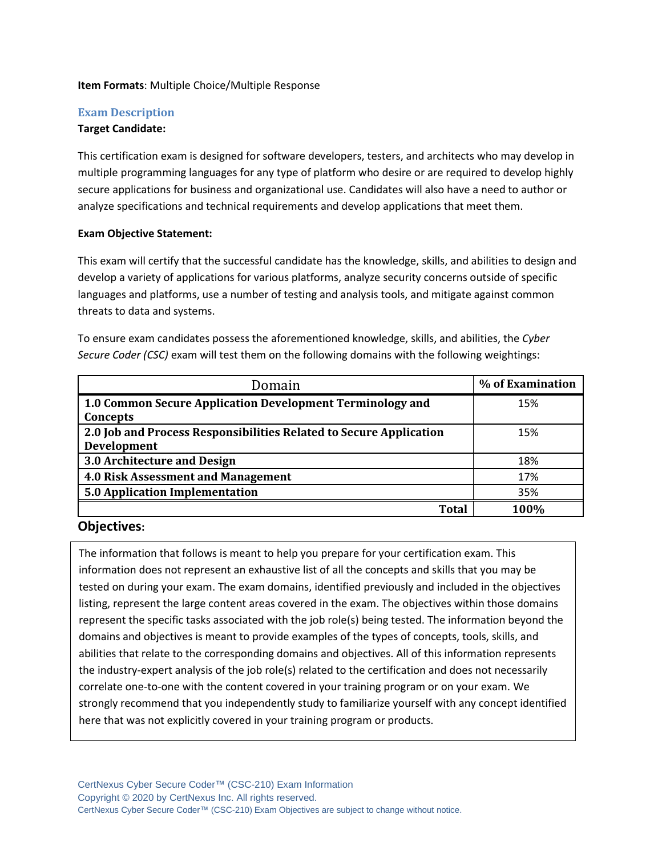#### **Item Formats**: Multiple Choice/Multiple Response

#### **Exam Description**

#### **Target Candidate:**

This certification exam is designed for software developers, testers, and architects who may develop in multiple programming languages for any type of platform who desire or are required to develop highly secure applications for business and organizational use. Candidates will also have a need to author or analyze specifications and technical requirements and develop applications that meet them.

#### **Exam Objective Statement:**

This exam will certify that the successful candidate has the knowledge, skills, and abilities to design and develop a variety of applications for various platforms, analyze security concerns outside of specific languages and platforms, use a number of testing and analysis tools, and mitigate against common threats to data and systems.

To ensure exam candidates possess the aforementioned knowledge, skills, and abilities, the *Cyber Secure Coder (CSC)* exam will test them on the following domains with the following weightings:

| Domain                                                                            | % of Examination |
|-----------------------------------------------------------------------------------|------------------|
| 1.0 Common Secure Application Development Terminology and<br>Concepts             | 15%              |
| 2.0 Job and Process Responsibilities Related to Secure Application<br>Development | 15%              |
| 3.0 Architecture and Design                                                       | 18%              |
| <b>4.0 Risk Assessment and Management</b>                                         | 17%              |
| 5.0 Application Implementation                                                    | 35%              |
| <b>Total</b>                                                                      | 100%             |

#### **Objectives:**

The information that follows is meant to help you prepare for your certification exam. This information does not represent an exhaustive list of all the concepts and skills that you may be tested on during your exam. The exam domains, identified previously and included in the objectives listing, represent the large content areas covered in the exam. The objectives within those domains represent the specific tasks associated with the job role(s) being tested. The information beyond the domains and objectives is meant to provide examples of the types of concepts, tools, skills, and abilities that relate to the corresponding domains and objectives. All of this information represents the industry-expert analysis of the job role(s) related to the certification and does not necessarily correlate one-to-one with the content covered in your training program or on your exam. We strongly recommend that you independently study to familiarize yourself with any concept identified here that was not explicitly covered in your training program or products.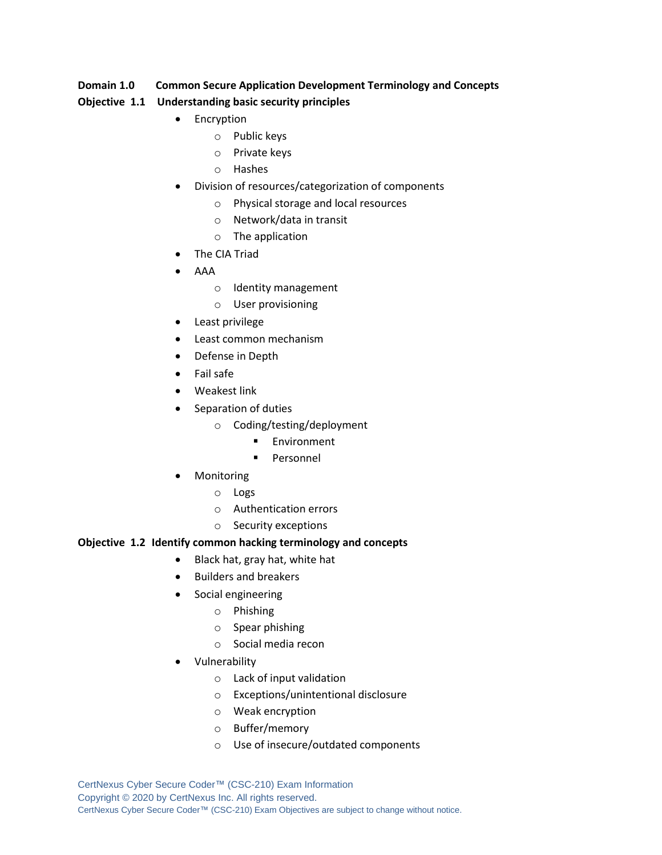#### **Domain 1.0 Common Secure Application Development Terminology and Concepts**

#### **Objective 1.1 Understanding basic security principles**

- Encryption
	- o Public keys
	- o Private keys
	- o Hashes
- Division of resources/categorization of components
	- o Physical storage and local resources
	- o Network/data in transit
	- o The application
- The CIA Triad
- AAA
	- o Identity management
	- o User provisioning
- Least privilege
- Least common mechanism
- Defense in Depth
- Fail safe
- Weakest link
- Separation of duties
	- o Coding/testing/deployment
		- Environment
		- Personnel
- **Monitoring** 
	- o Logs
	- o Authentication errors
	- o Security exceptions

#### **Objective 1.2 Identify common hacking terminology and concepts**

- Black hat, gray hat, white hat
- Builders and breakers
- Social engineering
	- o Phishing
	- o Spear phishing
	- o Social media recon
- Vulnerability
	- o Lack of input validation
	- o Exceptions/unintentional disclosure
	- o Weak encryption
	- o Buffer/memory
	- o Use of insecure/outdated components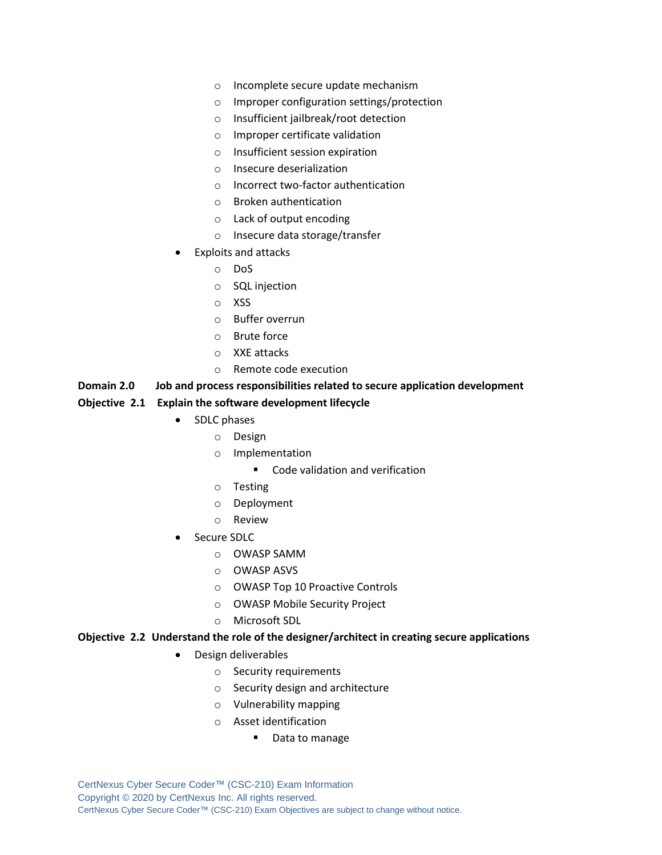- o Incomplete secure update mechanism
- o Improper configuration settings/protection
- o Insufficient jailbreak/root detection
- o Improper certificate validation
- o Insufficient session expiration
- o Insecure deserialization
- o Incorrect two-factor authentication
- o Broken authentication
- o Lack of output encoding
- o Insecure data storage/transfer
- Exploits and attacks
	- o DoS
	- o SQL injection
	- o XSS
	- o Buffer overrun
	- o Brute force
	- o XXE attacks
	- o Remote code execution

#### **Domain 2.0 Job and process responsibilities related to secure application development**

#### **Objective 2.1 Explain the software development lifecycle**

- SDLC phases
	- o Design
	- o Implementation
		- Code validation and verification
	- o Testing
	- o Deployment
	- o Review
- Secure SDLC
	- o OWASP SAMM
	- o OWASP ASVS
	- o OWASP Top 10 Proactive Controls
	- o OWASP Mobile Security Project
	- o Microsoft SDL

#### **Objective 2.2 Understand the role of the designer/architect in creating secure applications**

- Design deliverables
	- o Security requirements
	- o Security design and architecture
	- o Vulnerability mapping
	- o Asset identification
		- Data to manage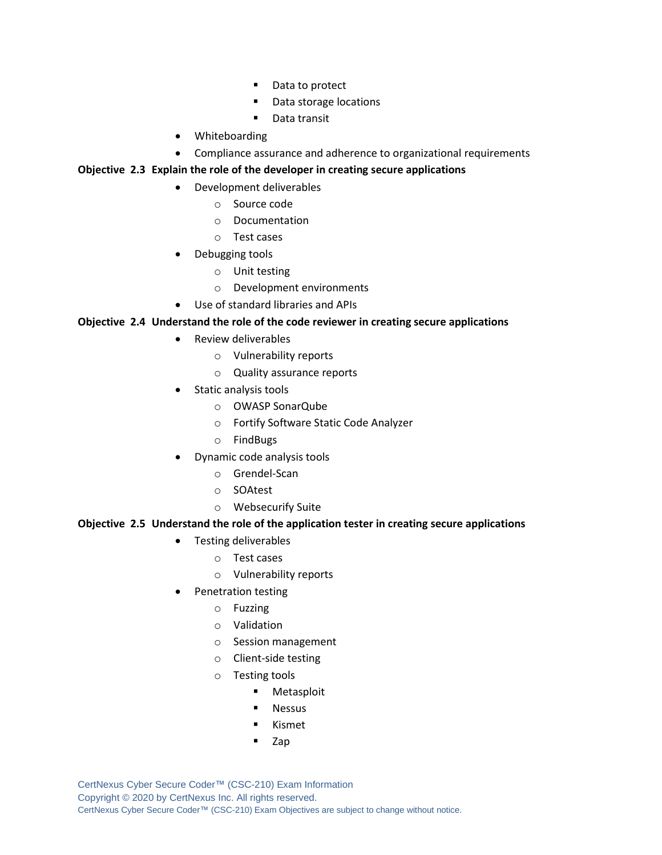- Data to protect
- Data storage locations
- Data transit
- Whiteboarding
- Compliance assurance and adherence to organizational requirements

#### **Objective 2.3 Explain the role of the developer in creating secure applications**

- Development deliverables
	- o Source code
	- o Documentation
	- o Test cases
- Debugging tools
	- o Unit testing
	- o Development environments
- Use of standard libraries and APIs

#### **Objective 2.4 Understand the role of the code reviewer in creating secure applications**

- Review deliverables
	- o Vulnerability reports
	- o Quality assurance reports
- Static analysis tools
	- o OWASP SonarQube
	- o Fortify Software Static Code Analyzer
	- o FindBugs
- Dynamic code analysis tools
	- o Grendel-Scan
	- o SOAtest
	- o Websecurify Suite

#### **Objective 2.5 Understand the role of the application tester in creating secure applications**

- Testing deliverables
	- o Test cases
	- o Vulnerability reports
- Penetration testing
	- o Fuzzing
	- o Validation
	- o Session management
	- o Client-side testing
	- o Testing tools
		- Metasploit
		- Nessus
		- **Kismet**
		- Zap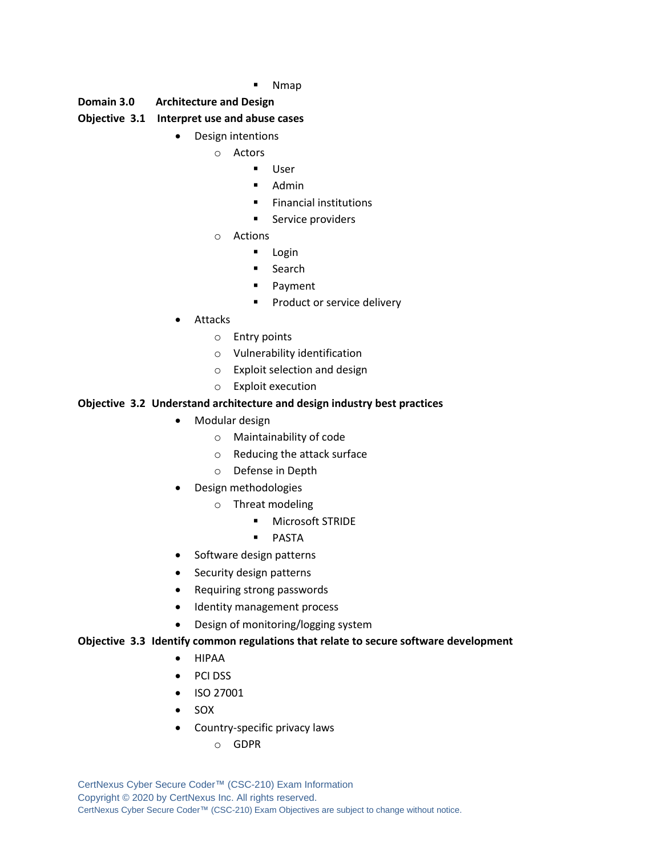**Nmap** 

#### **Domain 3.0 Architecture and Design**

#### **Objective 3.1 Interpret use and abuse cases**

- Design intentions
	- o Actors
		- User
		- Admin
		- Financial institutions
		- Service providers
	- o Actions
		- Login
		- Search
		- Payment
		- **•** Product or service delivery
- Attacks
	- o Entry points
	- o Vulnerability identification
	- o Exploit selection and design
	- o Exploit execution

#### **Objective 3.2 Understand architecture and design industry best practices**

- Modular design
	- o Maintainability of code
	- o Reducing the attack surface
	- o Defense in Depth
- Design methodologies
	- o Threat modeling
		- Microsoft STRIDE
		- PASTA
- Software design patterns
- Security design patterns
- Requiring strong passwords
- Identity management process
- Design of monitoring/logging system

#### **Objective 3.3 Identify common regulations that relate to secure software development**

- HIPAA
- PCI DSS
- ISO 27001
- SOX
- Country-specific privacy laws
	- o GDPR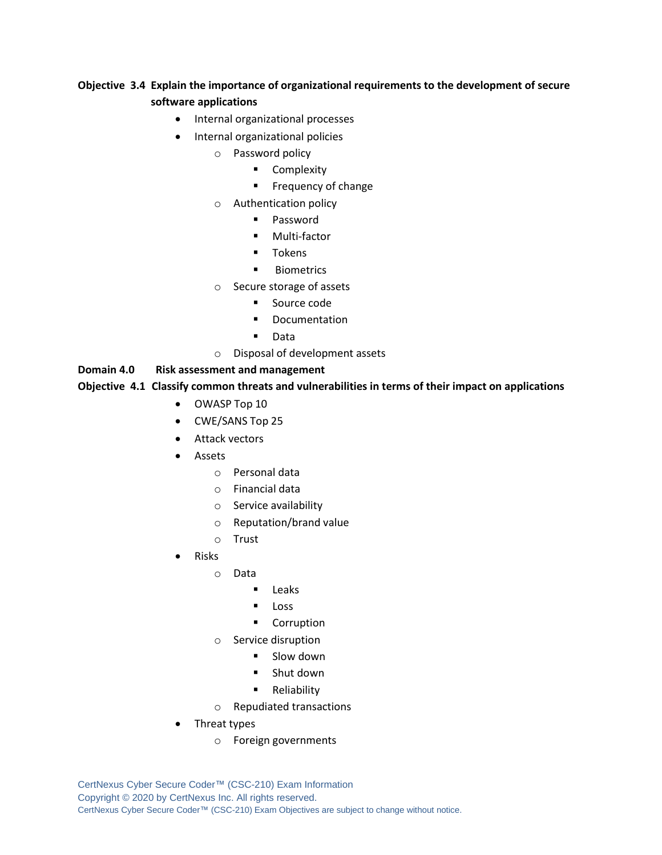## **Objective 3.4 Explain the importance of organizational requirements to the development of secure software applications**

- Internal organizational processes
- Internal organizational policies
	- o Password policy
		- Complexity
		- Frequency of change
	- o Authentication policy
		- Password
		- Multi-factor
		- Tokens
		- Biometrics
	- o Secure storage of assets
		- Source code
		- Documentation
		- Data
	- o Disposal of development assets

#### **Domain 4.0 Risk assessment and management**

#### **Objective 4.1 Classify common threats and vulnerabilities in terms of their impact on applications**

- OWASP Top 10
- CWE/SANS Top 25
- Attack vectors
- **Assets** 
	- o Personal data
	- o Financial data
	- o Service availability
	- o Reputation/brand value
	- o Trust
- Risks
	- o Data
		- Leaks
		- Loss
		- Corruption
	- o Service disruption
		- Slow down
			- Shut down
		- **■** Reliability
	- o Repudiated transactions
- Threat types
	- o Foreign governments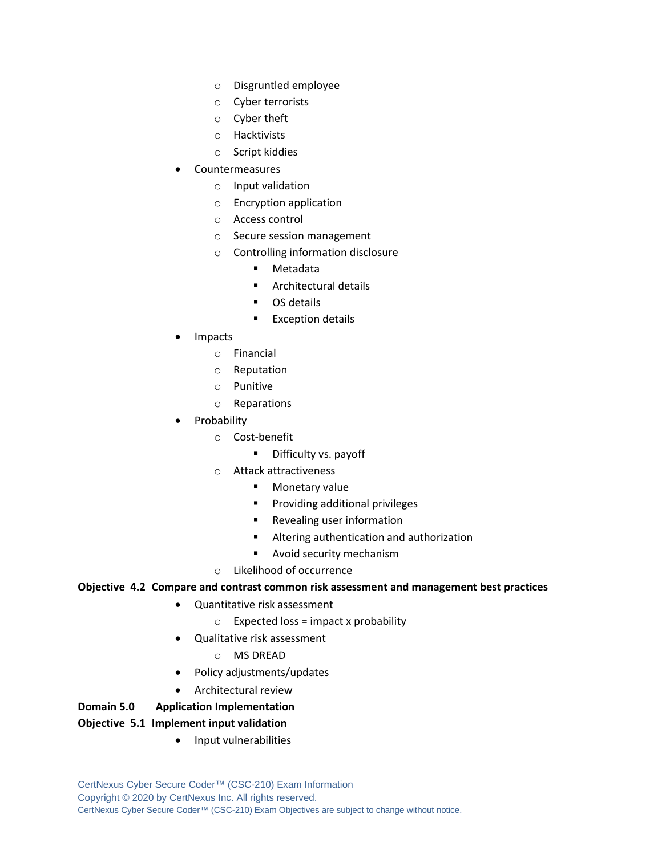- o Disgruntled employee
- o Cyber terrorists
- o Cyber theft
- o Hacktivists
- o Script kiddies
- **Countermeasures** 
	- o Input validation
	- o Encryption application
	- o Access control
	- o Secure session management
	- o Controlling information disclosure
		- Metadata
		- Architectural details
		- OS details
		- Exception details
- Impacts
	- o Financial
	- o Reputation
	- o Punitive
	- o Reparations
- **Probability** 
	- o Cost-benefit
		- Difficulty vs. payoff
	- o Attack attractiveness
		- Monetary value
		- Providing additional privileges
		- Revealing user information
		- Altering authentication and authorization
		- Avoid security mechanism
	- o Likelihood of occurrence

#### **Objective 4.2 Compare and contrast common risk assessment and management best practices**

- Quantitative risk assessment
	- $\circ$  Expected loss = impact x probability
	- Qualitative risk assessment
		- o MS DREAD
- Policy adjustments/updates
- Architectural review

#### **Domain 5.0 Application Implementation**

#### **Objective 5.1 Implement input validation**

• Input vulnerabilities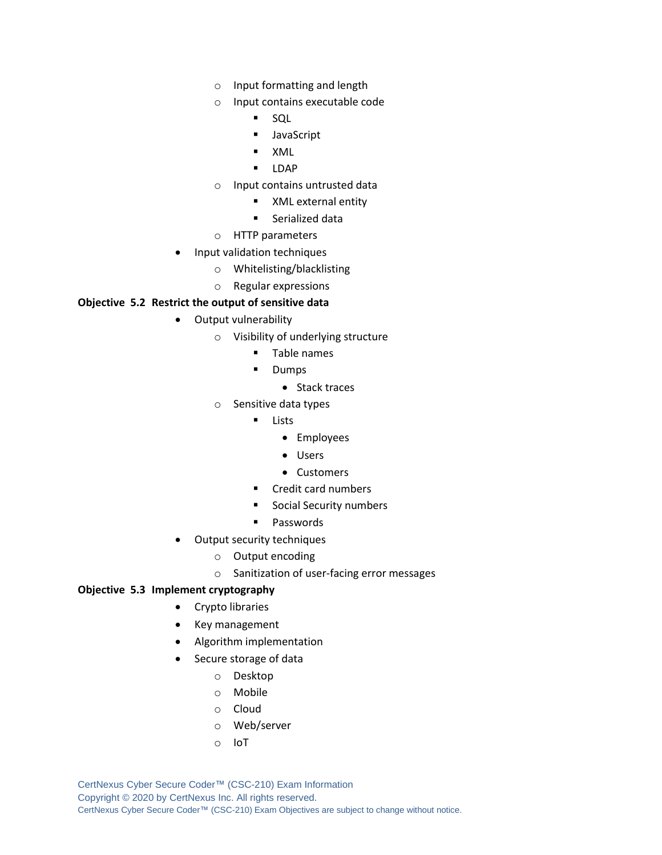- o Input formatting and length
- o Input contains executable code
	- SQL
	- JavaScript
	- XML
	- LDAP
- o Input contains untrusted data
	- XML external entity
	- Serialized data
- o HTTP parameters
- Input validation techniques
	- o Whitelisting/blacklisting
	- o Regular expressions

#### **Objective 5.2 Restrict the output of sensitive data**

- Output vulnerability
	- o Visibility of underlying structure
		- Table names
		- Dumps
			- Stack traces
	- o Sensitive data types
		- Lists
			- Employees
			- Users
			- Customers
		- Credit card numbers
		- Social Security numbers
		- Passwords
- Output security techniques
	- o Output encoding
	- o Sanitization of user-facing error messages

#### **Objective 5.3 Implement cryptography**

- Crypto libraries
- Key management
- Algorithm implementation
- Secure storage of data
	- o Desktop
	- o Mobile
	- o Cloud
	- o Web/server
	- o IoT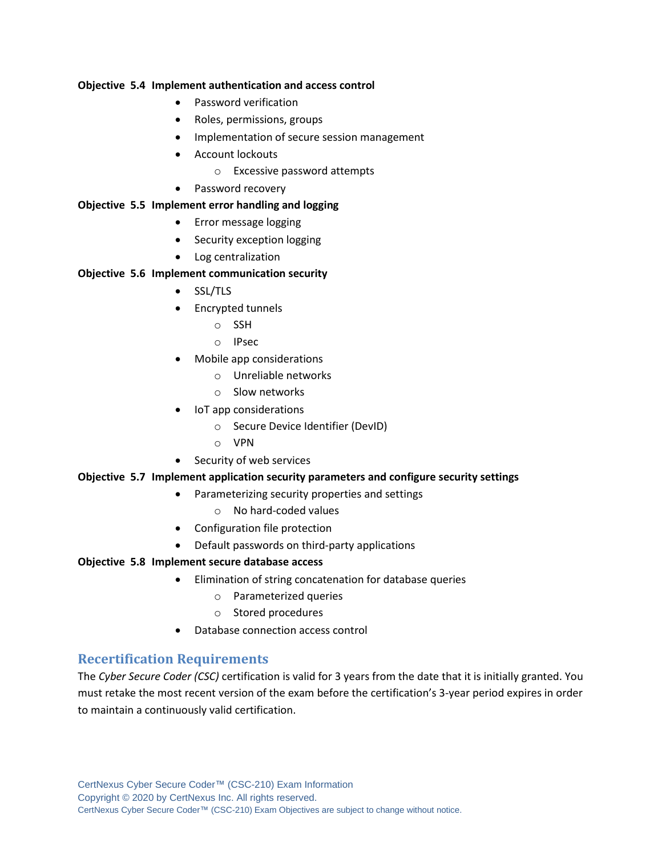#### **Objective 5.4 Implement authentication and access control**

- Password verification
- Roles, permissions, groups
- Implementation of secure session management
- Account lockouts
	- o Excessive password attempts
- Password recovery

#### **Objective 5.5 Implement error handling and logging**

- Error message logging
- Security exception logging
- Log centralization

#### **Objective 5.6 Implement communication security**

- SSL/TLS
- Encrypted tunnels
	- o SSH
	- o IPsec
- Mobile app considerations
	- o Unreliable networks
	- o Slow networks
- IoT app considerations
	- o Secure Device Identifier (DevID)
	- o VPN
- Security of web services

#### **Objective 5.7 Implement application security parameters and configure security settings**

- Parameterizing security properties and settings
	- o No hard-coded values
- Configuration file protection
- Default passwords on third-party applications

#### **Objective 5.8 Implement secure database access**

- Elimination of string concatenation for database queries
	- o Parameterized queries
	- o Stored procedures
- Database connection access control

## **Recertification Requirements**

The *Cyber Secure Coder (CSC)* certification is valid for 3 years from the date that it is initially granted. You must retake the most recent version of the exam before the certification's 3-year period expires in order to maintain a continuously valid certification.